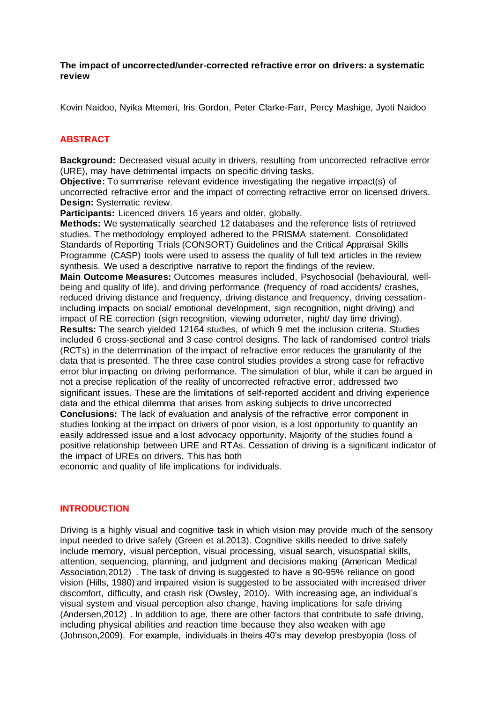**The impact of uncorrected/under-corrected refractive error on drivers: a systematic review** 

Kovin Naidoo, Nyika Mtemeri, Iris Gordon, Peter Clarke-Farr, Percy Mashige, Jyoti Naidoo

## **ABSTRACT**

**Background:** Decreased visual acuity in drivers, resulting from uncorrected refractive error (URE), may have detrimental impacts on specific driving tasks.

**Objective:** To summarise relevant evidence investigating the negative impact(s) of uncorrected refractive error and the impact of correcting refractive error on licensed drivers. **Design:** Systematic review.

**Participants:** Licenced drivers 16 years and older, globally.

**Methods:** We systematically searched 12 databases and the reference lists of retrieved studies. The methodology employed adhered to the PRISMA statement. Consolidated Standards of Reporting Trials (CONSORT) Guidelines and the Critical Appraisal Skills Programme (CASP) tools were used to assess the quality of full text articles in the review synthesis. We used a descriptive narrative to report the findings of the review. **Main Outcome Measures:** Outcomes measures included, Psychosocial (behavioural, wellbeing and quality of life), and driving performance (frequency of road accidents/ crashes, reduced driving distance and frequency, driving distance and frequency, driving cessationincluding impacts on social/ emotional development, sign recognition, night driving) and impact of RE correction (sign recognition, viewing odometer, night/ day time driving). **Results:** The search yielded 12164 studies, of which 9 met the inclusion criteria. Studies included 6 cross-sectional and 3 case control designs. The lack of randomised control trials (RCTs) in the determination of the impact of refractive error reduces the granularity of the data that is presented. The three case control studies provides a strong case for refractive error blur impacting on driving performance. The simulation of blur, while it can be argued in not a precise replication of the reality of uncorrected refractive error, addressed two significant issues. These are the limitations of self-reported accident and driving experience data and the ethical dilemma that arises from asking subjects to drive uncorrected **Conclusions:** The lack of evaluation and analysis of the refractive error component in studies looking at the impact on drivers of poor vision, is a lost opportunity to quantify an easily addressed issue and a lost advocacy opportunity. Majority of the studies found a positive relationship between URE and RTAs. Cessation of driving is a significant indicator of the impact of UREs on drivers. This has both

economic and quality of life implications for individuals.

# **INTRODUCTION**

Driving is a highly visual and cognitive task in which vision may provide much of the sensory input needed to drive safely (Green et al.2013). Cognitive skills needed to drive safely include memory, visual perception, visual processing, visual search, visuospatial skills, attention, sequencing, planning, and judgment and decisions making (American Medical Association,2012) . The task of driving is suggested to have a 90-95% reliance on good vision (Hills, 1980) and impaired vision is suggested to be associated with increased driver discomfort, difficulty, and crash risk (Owsley, 2010). With increasing age, an individual's visual system and visual perception also change, having implications for safe driving (Andersen,2012) . In addition to age, there are other factors that contribute to safe driving, including physical abilities and reaction time because they also weaken with age (Johnson,2009). For example, individuals in theirs 40's may develop presbyopia (loss of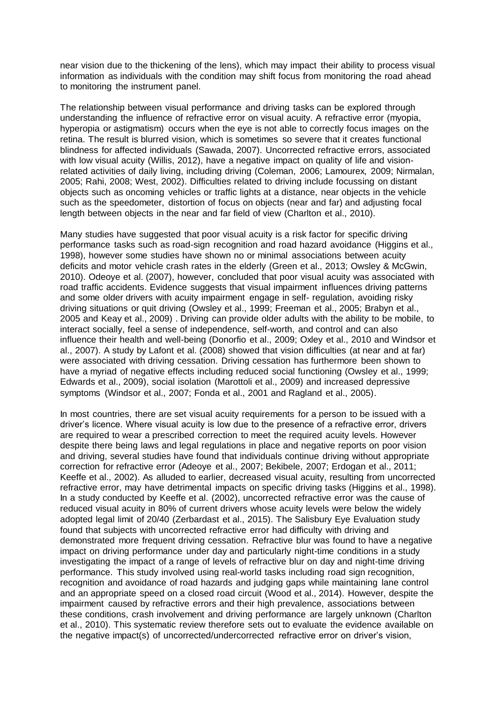near vision due to the thickening of the lens), which may impact their ability to process visual information as individuals with the condition may shift focus from monitoring the road ahead to monitoring the instrument panel.

The relationship between visual performance and driving tasks can be explored through understanding the influence of refractive error on visual acuity. A refractive error (myopia, hyperopia or astigmatism) occurs when the eye is not able to correctly focus images on the retina. The result is blurred vision, which is sometimes so severe that it creates functional blindness for affected individuals (Sawada, 2007). Uncorrected refractive errors, associated with low visual acuity (Willis, 2012), have a negative impact on quality of life and visionrelated activities of daily living, including driving (Coleman, 2006; Lamourex, 2009; Nirmalan, 2005; Rahi, 2008; West, 2002). Difficulties related to driving include focussing on distant objects such as oncoming vehicles or traffic lights at a distance, near objects in the vehicle such as the speedometer, distortion of focus on objects (near and far) and adjusting focal length between objects in the near and far field of view (Charlton et al., 2010).

Many studies have suggested that poor visual acuity is a risk factor for specific driving performance tasks such as road-sign recognition and road hazard avoidance (Higgins et al., 1998), however some studies have shown no or minimal associations between acuity deficits and motor vehicle crash rates in the elderly (Green et al., 2013; Owsley & McGwin, 2010). Odeoye et al. (2007), however, concluded that poor visual acuity was associated with road traffic accidents. Evidence suggests that visual impairment influences driving patterns and some older drivers with acuity impairment engage in self- regulation, avoiding risky driving situations or quit driving (Owsley et al., 1999; Freeman et al., 2005; Brabyn et al., 2005 and Keay et al., 2009) . Driving can provide older adults with the ability to be mobile, to interact socially, feel a sense of independence, self-worth, and control and can also influence their health and well-being (Donorfio et al., 2009; Oxley et al., 2010 and Windsor et al., 2007). A study by Lafont et al. (2008) showed that vision difficulties (at near and at far) were associated with driving cessation. Driving cessation has furthermore been shown to have a myriad of negative effects including reduced social functioning (Owsley et al., 1999; Edwards et al., 2009), social isolation (Marottoli et al., 2009) and increased depressive symptoms (Windsor et al., 2007; Fonda et al., 2001 and Ragland et al., 2005).

In most countries, there are set visual acuity requirements for a person to be issued with a driver's licence. Where visual acuity is low due to the presence of a refractive error, drivers are required to wear a prescribed correction to meet the required acuity levels. However despite there being laws and legal regulations in place and negative reports on poor vision and driving, several studies have found that individuals continue driving without appropriate correction for refractive error (Adeoye et al., 2007; Bekibele, 2007; Erdogan et al., 2011; Keeffe et al., 2002). As alluded to earlier, decreased visual acuity, resulting from uncorrected refractive error, may have detrimental impacts on specific driving tasks (Higgins et al., 1998). In a study conducted by Keeffe et al. (2002), uncorrected refractive error was the cause of reduced visual acuity in 80% of current drivers whose acuity levels were below the widely adopted legal limit of 20/40 (Zerbardast et al., 2015). The Salisbury Eye Evaluation study found that subjects with uncorrected refractive error had difficulty with driving and demonstrated more frequent driving cessation. Refractive blur was found to have a negative impact on driving performance under day and particularly night-time conditions in a study investigating the impact of a range of levels of refractive blur on day and night-time driving performance. This study involved using real-world tasks including road sign recognition, recognition and avoidance of road hazards and judging gaps while maintaining lane control and an appropriate speed on a closed road circuit (Wood et al., 2014). However, despite the impairment caused by refractive errors and their high prevalence, associations between these conditions, crash involvement and driving performance are largely unknown (Charlton et al., 2010). This systematic review therefore sets out to evaluate the evidence available on the negative impact(s) of uncorrected/undercorrected refractive error on driver's vision,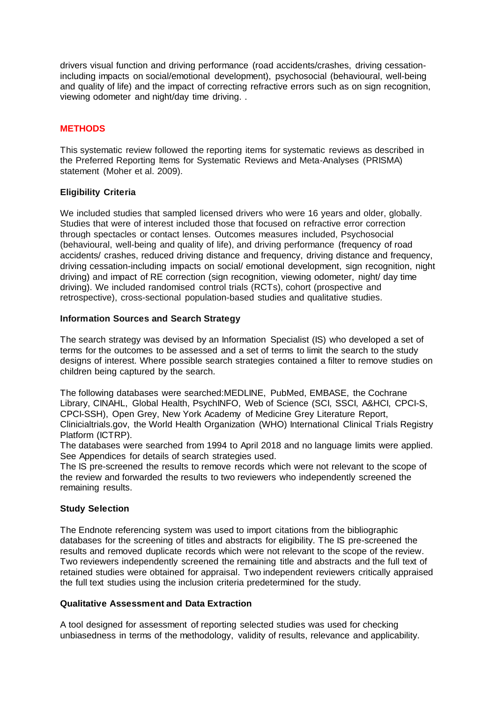drivers visual function and driving performance (road accidents/crashes, driving cessationincluding impacts on social/emotional development), psychosocial (behavioural, well-being and quality of life) and the impact of correcting refractive errors such as on sign recognition, viewing odometer and night/day time driving. .

## **METHODS**

This systematic review followed the reporting items for systematic reviews as described in the Preferred Reporting Items for Systematic Reviews and Meta-Analyses (PRISMA) statement (Moher et al. 2009).

## **Eligibility Criteria**

We included studies that sampled licensed drivers who were 16 years and older, globally. Studies that were of interest included those that focused on refractive error correction through spectacles or contact lenses. Outcomes measures included, Psychosocial (behavioural, well-being and quality of life), and driving performance (frequency of road accidents/ crashes, reduced driving distance and frequency, driving distance and frequency, driving cessation-including impacts on social/ emotional development, sign recognition, night driving) and impact of RE correction (sign recognition, viewing odometer, night/ day time driving). We included randomised control trials (RCTs), cohort (prospective and retrospective), cross-sectional population-based studies and qualitative studies.

# **Information Sources and Search Strategy**

The search strategy was devised by an Information Specialist (IS) who developed a set of terms for the outcomes to be assessed and a set of terms to limit the search to the study designs of interest. Where possible search strategies contained a filter to remove studies on children being captured by the search.

The following databases were searched:MEDLINE, PubMed, EMBASE, the Cochrane Library, CINAHL, Global Health, PsychINFO, Web of Science (SCI, SSCI, A&HCI, CPCI-S, CPCI-SSH), Open Grey, New York Academy of Medicine Grey Literature Report, Clinicialtrials.gov, the World Health Organization (WHO) International Clinical Trials Registry Platform (ICTRP).

The databases were searched from 1994 to April 2018 and no language limits were applied. See Appendices for details of search strategies used.

The IS pre-screened the results to remove records which were not relevant to the scope of the review and forwarded the results to two reviewers who independently screened the remaining results.

### **Study Selection**

The Endnote referencing system was used to import citations from the bibliographic databases for the screening of titles and abstracts for eligibility. The IS pre-screened the results and removed duplicate records which were not relevant to the scope of the review. Two reviewers independently screened the remaining title and abstracts and the full text of retained studies were obtained for appraisal. Two independent reviewers critically appraised the full text studies using the inclusion criteria predetermined for the study.

### **Qualitative Assessment and Data Extraction**

A tool designed for assessment of reporting selected studies was used for checking unbiasedness in terms of the methodology, validity of results, relevance and applicability.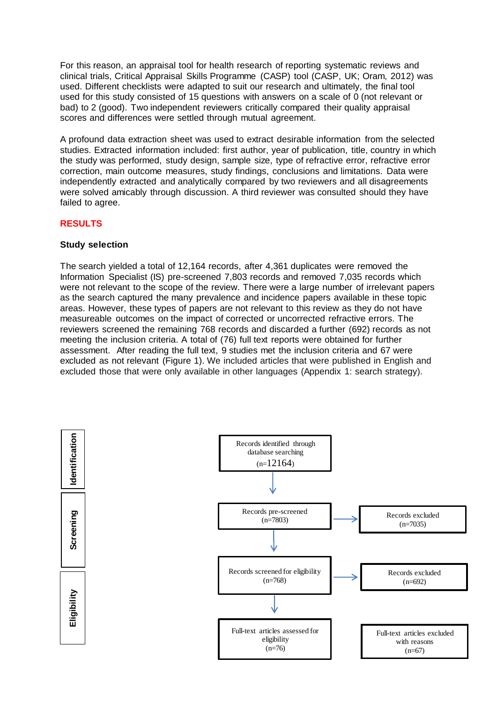For this reason, an appraisal tool for health research of reporting systematic reviews and clinical trials, Critical Appraisal Skills Programme (CASP) tool (CASP, UK; Oram, 2012) was used. Different checklists were adapted to suit our research and ultimately, the final tool used for this study consisted of 15 questions with answers on a scale of 0 (not relevant or bad) to 2 (good). Two independent reviewers critically compared their quality appraisal scores and differences were settled through mutual agreement.

A profound data extraction sheet was used to extract desirable information from the selected studies. Extracted information included: first author, year of publication, title, country in which the study was performed, study design, sample size, type of refractive error, refractive error correction, main outcome measures, study findings, conclusions and limitations. Data were independently extracted and analytically compared by two reviewers and all disagreements were solved amicably through discussion. A third reviewer was consulted should they have failed to agree.

## **RESULTS**

## **Study selection**

The search yielded a total of 12,164 records, after 4,361 duplicates were removed the Information Specialist (IS) pre-screened 7,803 records and removed 7,035 records which were not relevant to the scope of the review. There were a large number of irrelevant papers as the search captured the many prevalence and incidence papers available in these topic areas. However, these types of papers are not relevant to this review as they do not have measureable outcomes on the impact of corrected or uncorrected refractive errors. The reviewers screened the remaining 768 records and discarded a further (692) records as not meeting the inclusion criteria. A total of (76) full text reports were obtained for further assessment. After reading the full text, 9 studies met the inclusion criteria and 67 were excluded as not relevant (Figure 1). We included articles that were published in English and excluded those that were only available in other languages (Appendix 1: search strategy).

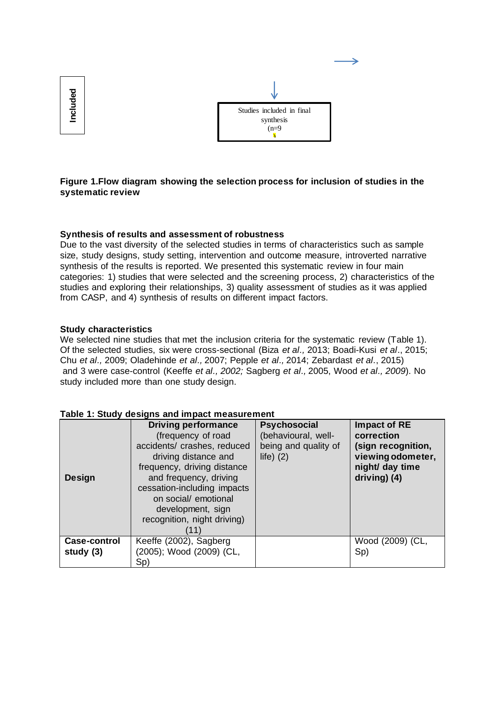

**Figure 1.Flow diagram showing the selection process for inclusion of studies in the systematic review**

### **Synthesis of results and assessment of robustness**

Due to the vast diversity of the selected studies in terms of characteristics such as sample size, study designs, study setting, intervention and outcome measure, introverted narrative synthesis of the results is reported. We presented this systematic review in four main categories: 1) studies that were selected and the screening process, 2) characteristics of the studies and exploring their relationships, 3) quality assessment of studies as it was applied from CASP, and 4) synthesis of results on different impact factors.

### **Study characteristics**

We selected nine studies that met the inclusion criteria for the systematic review (Table 1). Of the selected studies, six were cross-sectional (Biza *et al.,* 2013; Boadi-Kusi *et al*., 2015; Chu *et al.,* 2009; Oladehinde *et al.,* 2007; Pepple *et al.,* 2014; Zebardast *et al.*, 2015) and 3 were case-control (Keeffe *et al., 2002;* Sagberg *et al.,* 2005, Wood *et al., 2009*). No study included more than one study design.

| <b>Design</b>               | <b>Driving performance</b><br>(frequency of road<br>accidents/ crashes, reduced<br>driving distance and<br>frequency, driving distance<br>and frequency, driving<br>cessation-including impacts<br>on social/ emotional<br>development, sign<br>recognition, night driving)<br>11) | <b>Psychosocial</b><br>(behavioural, well-<br>being and quality of<br>$life)$ (2) | Impact of RE<br>correction<br>(sign recognition,<br>viewing odometer,<br>night/ day time<br>driving) $(4)$ |
|-----------------------------|------------------------------------------------------------------------------------------------------------------------------------------------------------------------------------------------------------------------------------------------------------------------------------|-----------------------------------------------------------------------------------|------------------------------------------------------------------------------------------------------------|
| Case-control<br>study $(3)$ | Keeffe (2002), Sagberg<br>(2005); Wood (2009) (CL,<br>Sp)                                                                                                                                                                                                                          |                                                                                   | Wood (2009) (CL,<br>Sp)                                                                                    |

#### **Table 1: Study designs and impact measurement**

Included **Included**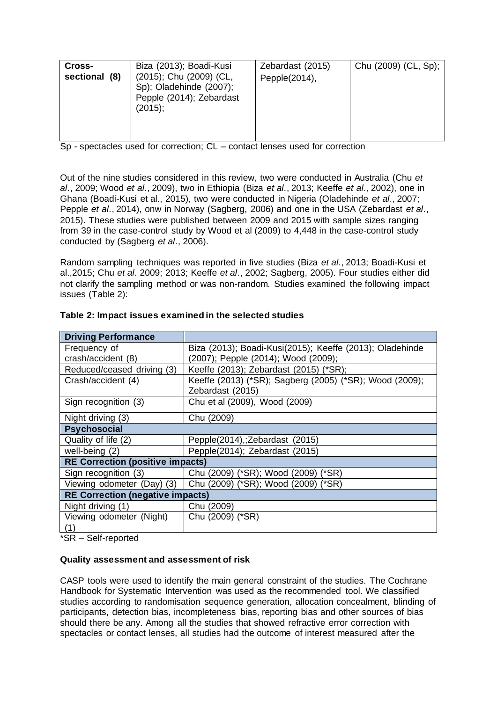| Cross-<br>sectional (8) | Biza (2013); Boadi-Kusi<br>(2015); Chu (2009) (CL,<br>Sp); Oladehinde (2007);<br>Pepple (2014); Zebardast<br>(2015); | Zebardast (2015)<br>Pepple(2014), | Chu (2009) (CL, Sp); |
|-------------------------|----------------------------------------------------------------------------------------------------------------------|-----------------------------------|----------------------|
|                         |                                                                                                                      |                                   |                      |

Sp - spectacles used for correction; CL – contact lenses used for correction

Out of the nine studies considered in this review, two were conducted in Australia (Chu *et al.*, 2009; Wood *et al.*, 2009), two in Ethiopia (Biza *et al.*, 2013; Keeffe *et al.*, 2002), one in Ghana (Boadi-Kusi et al., 2015), two were conducted in Nigeria (Oladehinde *et al.*, 2007; Pepple *et al.*, 2014), onw in Norway (Sagberg, 2006) and one in the USA (Zebardast *et al.*, 2015). These studies were published between 2009 and 2015 with sample sizes ranging from 39 in the case-control study by Wood et al (2009) to 4,448 in the case-control study conducted by (Sagberg *et al.*, 2006).

Random sampling techniques was reported in five studies (Biza *et al.*, 2013; Boadi-Kusi et al.,2015; Chu *et al.* 2009; 2013; Keeffe *et al.*, 2002; Sagberg, 2005). Four studies either did not clarify the sampling method or was non-random. Studies examined the following impact issues (Table 2):

| <b>Driving Performance</b>              |                                                                |  |  |  |
|-----------------------------------------|----------------------------------------------------------------|--|--|--|
| Frequency of                            | Biza (2013); Boadi-Kusi(2015); Keeffe (2013); Oladehinde       |  |  |  |
| crash/accident (8)                      | (2007); Pepple (2014); Wood (2009);                            |  |  |  |
| Reduced/ceased driving (3)              | Keeffe (2013); Zebardast (2015) (*SR);                         |  |  |  |
| Crash/accident (4)                      | Keeffe (2013) (*SR); Sagberg (2005) (*SR); Wood (2009);        |  |  |  |
|                                         | Zebardast (2015)                                               |  |  |  |
| Sign recognition (3)                    | Chu et al (2009), Wood (2009)                                  |  |  |  |
| Night driving (3)                       | Chu (2009)                                                     |  |  |  |
| <b>Psychosocial</b>                     |                                                                |  |  |  |
| Quality of life (2)                     | Pepple(2014), ; Zebardast (2015)                               |  |  |  |
| well-being (2)                          | Pepple(2014); Zebardast (2015)                                 |  |  |  |
| <b>RE Correction (positive impacts)</b> |                                                                |  |  |  |
| Sign recognition (3)                    | Chu (2009) (*SR); Wood (2009) (*SR)                            |  |  |  |
|                                         | Viewing odometer (Day) (3) Chu (2009) (*SR); Wood (2009) (*SR) |  |  |  |
| <b>RE Correction (negative impacts)</b> |                                                                |  |  |  |
| Night driving (1)                       | Chu (2009)                                                     |  |  |  |
| Viewing odometer (Night)                | Chu (2009) (*SR)                                               |  |  |  |
| (1)                                     |                                                                |  |  |  |

## **Table 2: Impact issues examined in the selected studies**

\*SR – Self-reported

### **Quality assessment and assessment of risk**

CASP tools were used to identify the main general constraint of the studies. The Cochrane Handbook for Systematic Intervention was used as the recommended tool. We classified studies according to randomisation sequence generation, allocation concealment, blinding of participants, detection bias, incompleteness bias, reporting bias and other sources of bias should there be any. Among all the studies that showed refractive error correction with spectacles or contact lenses, all studies had the outcome of interest measured after the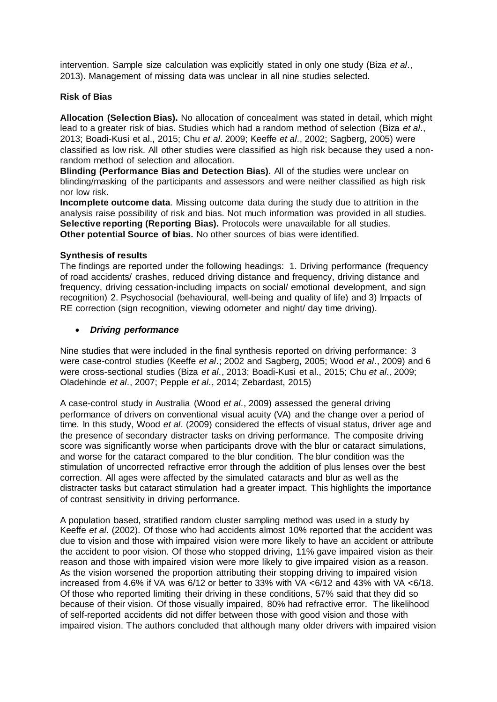intervention. Sample size calculation was explicitly stated in only one study (Biza *et al.*, 2013). Management of missing data was unclear in all nine studies selected.

## **Risk of Bias**

**Allocation (Selection Bias).** No allocation of concealment was stated in detail, which might lead to a greater risk of bias. Studies which had a random method of selection (Biza *et al.*, 2013; Boadi-Kusi et al., 2015; Chu *et al.* 2009; Keeffe *et al.*, 2002; Sagberg, 2005) were classified as low risk. All other studies were classified as high risk because they used a nonrandom method of selection and allocation.

**Blinding (Performance Bias and Detection Bias).** All of the studies were unclear on blinding/masking of the participants and assessors and were neither classified as high risk nor low risk.

**Incomplete outcome data**. Missing outcome data during the study due to attrition in the analysis raise possibility of risk and bias. Not much information was provided in all studies. **Selective reporting (Reporting Bias).** Protocols were unavailable for all studies. **Other potential Source of bias.** No other sources of bias were identified.

## **Synthesis of results**

The findings are reported under the following headings: 1. Driving performance (frequency of road accidents/ crashes, reduced driving distance and frequency, driving distance and frequency, driving cessation-including impacts on social/ emotional development, and sign recognition) 2. Psychosocial (behavioural, well-being and quality of life) and 3) Impacts of RE correction (sign recognition, viewing odometer and night/ day time driving).

## *Driving performance*

Nine studies that were included in the final synthesis reported on driving performance: 3 were case-control studies (Keeffe *et al.*; 2002 and Sagberg, 2005; Wood *et al.*, 2009) and 6 were cross-sectional studies (Biza *et al.*, 2013; Boadi-Kusi et al., 2015; Chu *et al.*, 2009; Oladehinde *et al.*, 2007; Pepple *et al.*, 2014; Zebardast, 2015)

A case-control study in Australia (Wood *et al.*, 2009) assessed the general driving performance of drivers on conventional visual acuity (VA) and the change over a period of time. In this study, Wood *et al.* (2009) considered the effects of visual status, driver age and the presence of secondary distracter tasks on driving performance. The composite driving score was significantly worse when participants drove with the blur or cataract simulations, and worse for the cataract compared to the blur condition. The blur condition was the stimulation of uncorrected refractive error through the addition of plus lenses over the best correction. All ages were affected by the simulated cataracts and blur as well as the distracter tasks but cataract stimulation had a greater impact. This highlights the importance of contrast sensitivity in driving performance.

A population based, stratified random cluster sampling method was used in a study by Keeffe *et al.* (2002). Of those who had accidents almost 10% reported that the accident was due to vision and those with impaired vision were more likely to have an accident or attribute the accident to poor vision. Of those who stopped driving, 11% gave impaired vision as their reason and those with impaired vision were more likely to give impaired vision as a reason. As the vision worsened the proportion attributing their stopping driving to impaired vision increased from 4.6% if VA was 6/12 or better to 33% with VA <6/12 and 43% with VA <6/18. Of those who reported limiting their driving in these conditions, 57% said that they did so because of their vision. Of those visually impaired, 80% had refractive error. The likelihood of self-reported accidents did not differ between those with good vision and those with impaired vision. The authors concluded that although many older drivers with impaired vision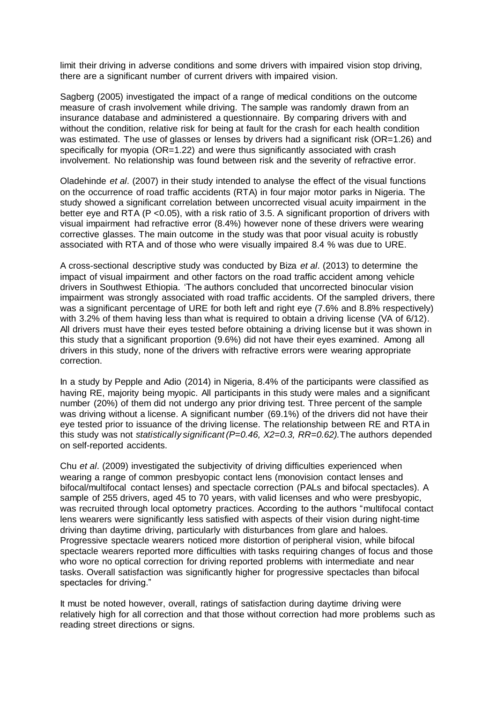limit their driving in adverse conditions and some drivers with impaired vision stop driving, there are a significant number of current drivers with impaired vision.

Sagberg (2005) investigated the impact of a range of medical conditions on the outcome measure of crash involvement while driving. The sample was randomly drawn from an insurance database and administered a questionnaire. By comparing drivers with and without the condition, relative risk for being at fault for the crash for each health condition was estimated. The use of glasses or lenses by drivers had a significant risk (OR=1.26) and specifically for myopia (OR=1.22) and were thus significantly associated with crash involvement. No relationship was found between risk and the severity of refractive error.

Oladehinde *et al.* (2007) in their study intended to analyse the effect of the visual functions on the occurrence of road traffic accidents (RTA) in four major motor parks in Nigeria. The study showed a significant correlation between uncorrected visual acuity impairment in the better eye and RTA (P <0.05), with a risk ratio of 3.5. A significant proportion of drivers with visual impairment had refractive error (8.4%) however none of these drivers were wearing corrective glasses. The main outcome in the study was that poor visual acuity is robustly associated with RTA and of those who were visually impaired 8.4 % was due to URE.

A cross-sectional descriptive study was conducted by Biza *et al.* (2013) to determine the impact of visual impairment and other factors on the road traffic accident among vehicle drivers in Southwest Ethiopia. 'The authors concluded that uncorrected binocular vision impairment was strongly associated with road traffic accidents. Of the sampled drivers, there was a significant percentage of URE for both left and right eye (7.6% and 8.8% respectively) with 3.2% of them having less than what is required to obtain a driving license (VA of 6/12). All drivers must have their eyes tested before obtaining a driving license but it was shown in this study that a significant proportion (9.6%) did not have their eyes examined. Among all drivers in this study, none of the drivers with refractive errors were wearing appropriate correction.

In a study by Pepple and Adio (2014) in Nigeria, 8.4% of the participants were classified as having RE, majority being myopic. All participants in this study were males and a significant number (20%) of them did not undergo any prior driving test. Three percent of the sample was driving without a license. A significant number (69.1%) of the drivers did not have their eye tested prior to issuance of the driving license. The relationship between RE and RTA in this study was not *statistically significant (P=0.46, X2=0.3, RR=0.62).*The authors depended on self-reported accidents.

Chu *et al.* (2009) investigated the subjectivity of driving difficulties experienced when wearing a range of common presbyopic contact lens (monovision contact lenses and bifocal/multifocal contact lenses) and spectacle correction (PALs and bifocal spectacles). A sample of 255 drivers, aged 45 to 70 years, with valid licenses and who were presbyopic, was recruited through local optometry practices. According to the authors "multifocal contact lens wearers were significantly less satisfied with aspects of their vision during night-time driving than daytime driving, particularly with disturbances from glare and haloes. Progressive spectacle wearers noticed more distortion of peripheral vision, while bifocal spectacle wearers reported more difficulties with tasks requiring changes of focus and those who wore no optical correction for driving reported problems with intermediate and near tasks. Overall satisfaction was significantly higher for progressive spectacles than bifocal spectacles for driving."

It must be noted however, overall, ratings of satisfaction during daytime driving were relatively high for all correction and that those without correction had more problems such as reading street directions or signs.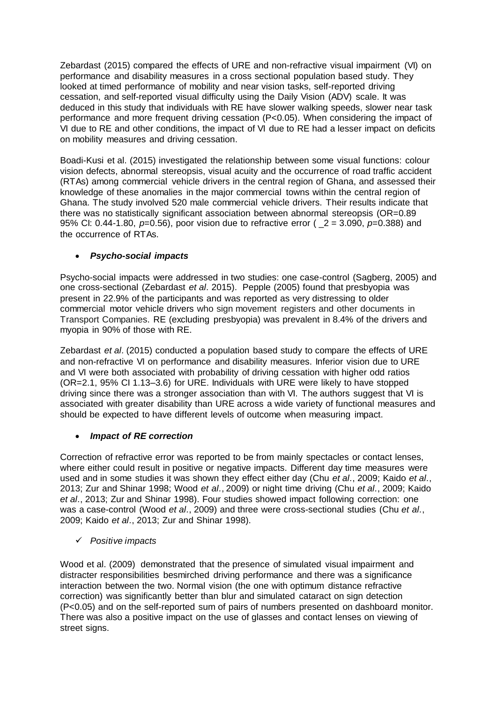Zebardast (2015) compared the effects of URE and non-refractive visual impairment (VI) on performance and disability measures in a cross sectional population based study. They looked at timed performance of mobility and near vision tasks, self-reported driving cessation, and self-reported visual difficulty using the Daily Vision (ADV) scale. It was deduced in this study that individuals with RE have slower walking speeds, slower near task performance and more frequent driving cessation (P<0.05). When considering the impact of VI due to RE and other conditions, the impact of VI due to RE had a lesser impact on deficits on mobility measures and driving cessation.

Boadi-Kusi et al. (2015) investigated the relationship between some visual functions: colour vision defects, abnormal stereopsis, visual acuity and the occurrence of road traffic accident (RTAs) among commercial vehicle drivers in the central region of Ghana, and assessed their knowledge of these anomalies in the major commercial towns within the central region of Ghana. The study involved 520 male commercial vehicle drivers. Their results indicate that there was no statistically significant association between abnormal stereopsis (OR=0.89 95% CI: 0.44-1.80, *p*=0.56), poor vision due to refractive error ( \_2 = 3.090, *p*=0.388) and the occurrence of RTAs.

# *Psycho-social impacts*

Psycho-social impacts were addressed in two studies: one case-control (Sagberg, 2005) and one cross-sectional (Zebardast *et al.* 2015). Pepple (2005) found that presbyopia was present in 22.9% of the participants and was reported as very distressing to older commercial motor vehicle drivers who sign movement registers and other documents in Transport Companies. RE (excluding presbyopia) was prevalent in 8.4% of the drivers and myopia in 90% of those with RE.

Zebardast *et al.* (2015) conducted a population based study to compare the effects of URE and non-refractive VI on performance and disability measures. Inferior vision due to URE and VI were both associated with probability of driving cessation with higher odd ratios (OR=2.1, 95% CI 1.13–3.6) for URE. Individuals with URE were likely to have stopped driving since there was a stronger association than with VI. The authors suggest that VI is associated with greater disability than URE across a wide variety of functional measures and should be expected to have different levels of outcome when measuring impact.

# *Impact of RE correction*

Correction of refractive error was reported to be from mainly spectacles or contact lenses, where either could result in positive or negative impacts. Different day time measures were used and in some studies it was shown they effect either day (Chu *et al.*, 2009; Kaido *et al.*, 2013; Zur and Shinar 1998; Wood *et al.*, 2009) or night time driving (Chu *et al.*, 2009; Kaido *et al.*, 2013; Zur and Shinar 1998). Four studies showed impact following correction: one was a case-control (Wood *et al.*, 2009) and three were cross-sectional studies (Chu *et al.*, 2009; Kaido *et al.*, 2013; Zur and Shinar 1998).

*Positive impacts*

Wood et al. (2009) demonstrated that the presence of simulated visual impairment and distracter responsibilities besmirched driving performance and there was a significance interaction between the two. Normal vision (the one with optimum distance refractive correction) was significantly better than blur and simulated cataract on sign detection (P<0.05) and on the self-reported sum of pairs of numbers presented on dashboard monitor. There was also a positive impact on the use of glasses and contact lenses on viewing of street signs.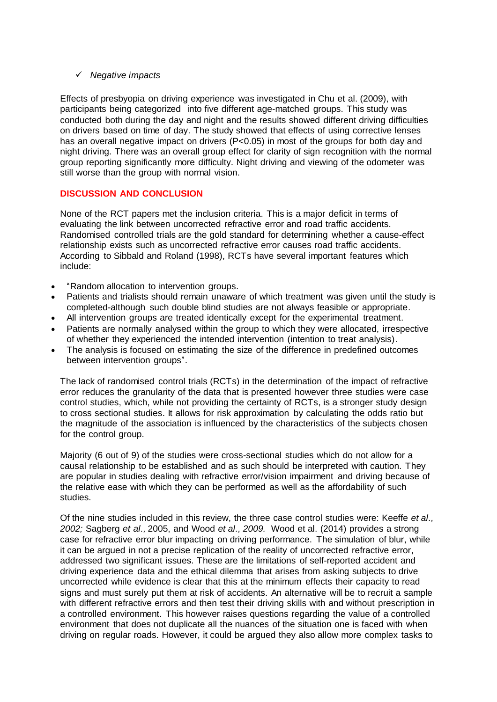## *Negative impacts*

Effects of presbyopia on driving experience was investigated in Chu et al. (2009), with participants being categorized into five different age-matched groups. This study was conducted both during the day and night and the results showed different driving difficulties on drivers based on time of day. The study showed that effects of using corrective lenses has an overall negative impact on drivers (P<0.05) in most of the groups for both day and night driving. There was an overall group effect for clarity of sign recognition with the normal group reporting significantly more difficulty. Night driving and viewing of the odometer was still worse than the group with normal vision.

# **DISCUSSION AND CONCLUSION**

None of the RCT papers met the inclusion criteria. This is a major deficit in terms of evaluating the link between uncorrected refractive error and road traffic accidents. Randomised controlled trials are the gold standard for determining whether a cause-effect relationship exists such as uncorrected refractive error causes road traffic accidents. According to Sibbald and Roland (1998), RCTs have several important features which include:

- "Random allocation to intervention groups.
- Patients and trialists should remain unaware of which treatment was given until the study is completed-although such double blind studies are not always feasible or appropriate.
- All intervention groups are treated identically except for the experimental treatment.
- Patients are normally analysed within the group to which they were allocated, irrespective of whether they experienced the intended intervention (intention to treat analysis).
- The analysis is focused on estimating the size of the difference in predefined outcomes between intervention groups".

The lack of randomised control trials (RCTs) in the determination of the impact of refractive error reduces the granularity of the data that is presented however three studies were case control studies, which, while not providing the certainty of RCTs, is a stronger study design to cross sectional studies. It allows for risk approximation by calculating the odds ratio but the magnitude of the association is influenced by the characteristics of the subjects chosen for the control group.

Majority (6 out of 9) of the studies were cross-sectional studies which do not allow for a causal relationship to be established and as such should be interpreted with caution. They are popular in studies dealing with refractive error/vision impairment and driving because of the relative ease with which they can be performed as well as the affordability of such studies.

Of the nine studies included in this review, the three case control studies were: Keeffe *et al., 2002;* Sagberg *et al.,* 2005, and Wood *et al., 2009.* Wood et al. (2014) provides a strong case for refractive error blur impacting on driving performance. The simulation of blur, while it can be argued in not a precise replication of the reality of uncorrected refractive error, addressed two significant issues. These are the limitations of self-reported accident and driving experience data and the ethical dilemma that arises from asking subjects to drive uncorrected while evidence is clear that this at the minimum effects their capacity to read signs and must surely put them at risk of accidents. An alternative will be to recruit a sample with different refractive errors and then test their driving skills with and without prescription in a controlled environment. This however raises questions regarding the value of a controlled environment that does not duplicate all the nuances of the situation one is faced with when driving on regular roads. However, it could be argued they also allow more complex tasks to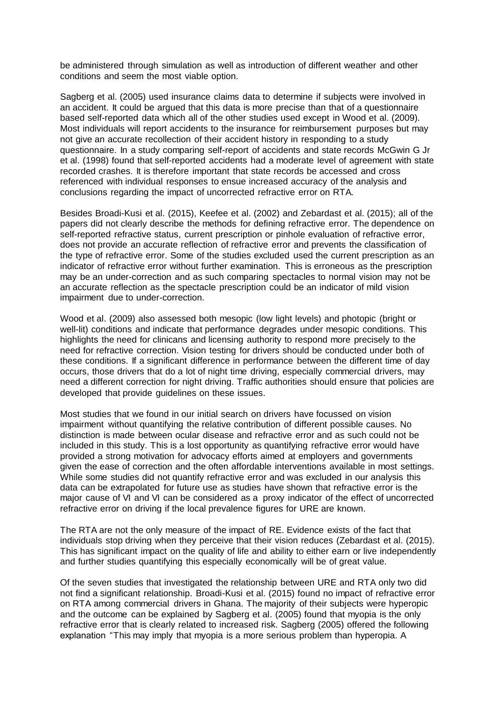be administered through simulation as well as introduction of different weather and other conditions and seem the most viable option.

Sagberg et al. (2005) used insurance claims data to determine if subjects were involved in an accident. It could be argued that this data is more precise than that of a questionnaire based self-reported data which all of the other studies used except in Wood et al. (2009). Most individuals will report accidents to the insurance for reimbursement purposes but may not give an accurate recollection of their accident history in responding to a study questionnaire. In a study comparing self-report of accidents and state records McGwin G Jr et al. (1998) found that self-reported accidents had a moderate level of agreement with state recorded crashes. It is therefore important that state records be accessed and cross referenced with individual responses to ensue increased accuracy of the analysis and conclusions regarding the impact of uncorrected refractive error on RTA.

Besides Broadi-Kusi et al. (2015), Keefee et al. (2002) and Zebardast et al. (2015); all of the papers did not clearly describe the methods for defining refractive error. The dependence on self-reported refractive status, current prescription or pinhole evaluation of refractive error, does not provide an accurate reflection of refractive error and prevents the classification of the type of refractive error. Some of the studies excluded used the current prescription as an indicator of refractive error without further examination. This is erroneous as the prescription may be an under-correction and as such comparing spectacles to normal vision may not be an accurate reflection as the spectacle prescription could be an indicator of mild vision impairment due to under-correction.

Wood et al. (2009) also assessed both mesopic (low light levels) and photopic (bright or well-lit) conditions and indicate that performance degrades under mesopic conditions. This highlights the need for clinicans and licensing authority to respond more precisely to the need for refractive correction. Vision testing for drivers should be conducted under both of these conditions. If a significant difference in performance between the different time of day occurs, those drivers that do a lot of night time driving, especially commercial drivers, may need a different correction for night driving. Traffic authorities should ensure that policies are developed that provide guidelines on these issues.

Most studies that we found in our initial search on drivers have focussed on vision impairment without quantifying the relative contribution of different possible causes. No distinction is made between ocular disease and refractive error and as such could not be included in this study. This is a lost opportunity as quantifying refractive error would have provided a strong motivation for advocacy efforts aimed at employers and governments given the ease of correction and the often affordable interventions available in most settings. While some studies did not quantify refractive error and was excluded in our analysis this data can be extrapolated for future use as studies have shown that refractive error is the major cause of VI and VI can be considered as a proxy indicator of the effect of uncorrected refractive error on driving if the local prevalence figures for URE are known.

The RTA are not the only measure of the impact of RE. Evidence exists of the fact that individuals stop driving when they perceive that their vision reduces (Zebardast et al. (2015). This has significant impact on the quality of life and ability to either earn or live independently and further studies quantifying this especially economically will be of great value.

Of the seven studies that investigated the relationship between URE and RTA only two did not find a significant relationship. Broadi-Kusi et al. (2015) found no impact of refractive error on RTA among commercial drivers in Ghana. The majority of their subjects were hyperopic and the outcome can be explained by Sagberg et al. (2005) found that myopia is the only refractive error that is clearly related to increased risk. Sagberg (2005) offered the following explanation "This may imply that myopia is a more serious problem than hyperopia. A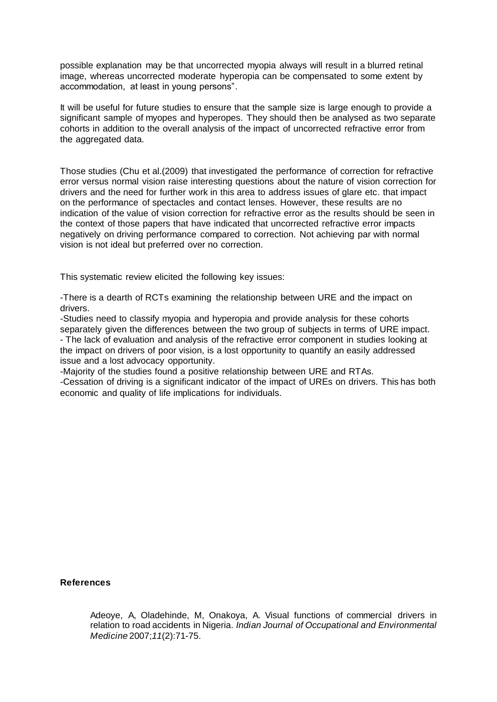possible explanation may be that uncorrected myopia always will result in a blurred retinal image, whereas uncorrected moderate hyperopia can be compensated to some extent by accommodation, at least in young persons".

It will be useful for future studies to ensure that the sample size is large enough to provide a significant sample of myopes and hyperopes. They should then be analysed as two separate cohorts in addition to the overall analysis of the impact of uncorrected refractive error from the aggregated data.

Those studies (Chu et al.(2009) that investigated the performance of correction for refractive error versus normal vision raise interesting questions about the nature of vision correction for drivers and the need for further work in this area to address issues of glare etc. that impact on the performance of spectacles and contact lenses. However, these results are no indication of the value of vision correction for refractive error as the results should be seen in the context of those papers that have indicated that uncorrected refractive error impacts negatively on driving performance compared to correction. Not achieving par with normal vision is not ideal but preferred over no correction.

This systematic review elicited the following key issues:

-There is a dearth of RCTs examining the relationship between URE and the impact on drivers.

-Studies need to classify myopia and hyperopia and provide analysis for these cohorts separately given the differences between the two group of subjects in terms of URE impact. - The lack of evaluation and analysis of the refractive error component in studies looking at the impact on drivers of poor vision, is a lost opportunity to quantify an easily addressed issue and a lost advocacy opportunity.

-Majority of the studies found a positive relationship between URE and RTAs.

-Cessation of driving is a significant indicator of the impact of UREs on drivers. This has both economic and quality of life implications for individuals.

**References**

Adeoye, A, Oladehinde, M, Onakoya, A. Visual functions of commercial drivers in relation to road accidents in Nigeria. *Indian Journal of Occupational and Environmental Medicine* 2007;*11*(2):71-75.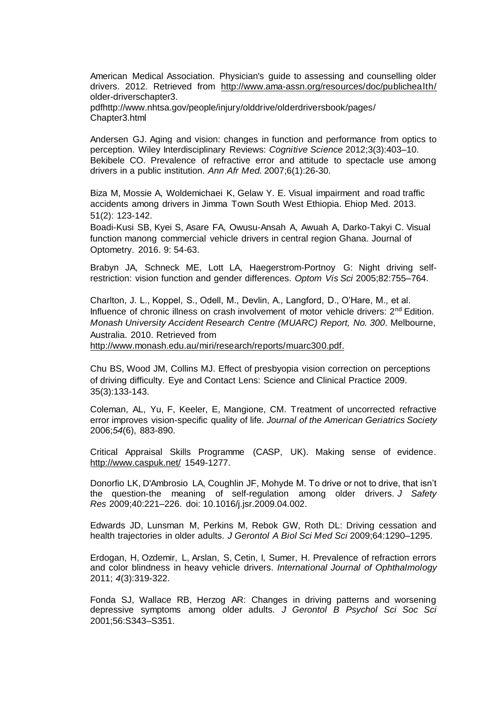American Medical Association. Physician's guide to assessing and counselling older drivers. 2012. Retrieved from <http://www.ama-assn.org/resources/doc/publichealth/> older-driverschapter3.

pdfhttp://www.nhtsa.gov/people/injury/olddrive/olderdriversbook/pages/ Chapter3.html

Andersen GJ. Aging and vision: changes in function and performance from optics to perception. Wiley Interdisciplinary Reviews: *Cognitive Science* 2012;3(3):403–10. Bekibele CO. Prevalence of refractive error and attitude to spectacle use among drivers in a public institution. *[Ann Afr Med.](http://www.ncbi.nlm.nih.gov/pubmed/18240488)* 2007;6(1):26-30.

Biza M, Mossie A, Woldemichaei K, Gelaw Y. E. Visual impairment and road traffic accidents among drivers in Jimma Town South West Ethiopia. Ehiop Med. 2013. 51(2): 123-142.

Boadi-Kusi SB, Kyei S, Asare FA, Owusu-Ansah A, Awuah A, Darko-Takyi C. Visual function manong commercial vehicle drivers in central region Ghana. Journal of Optometry. 2016. 9: 54-63.

Brabyn JA, Schneck ME, Lott LA, Haegerstrom-Portnoy G: Night driving selfrestriction: vision function and gender differences. *Optom Vis Sci* 2005;82:755–764.

Charlton, J. L., Koppel, S., Odell, M., Devlin, A., Langford, D., O'Hare, M., et al. Influence of chronic illness on crash involvement of motor vehicle drivers: 2<sup>nd</sup> Edition. *Monash University Accident Research Centre (MUARC) Report, No. 300*. Melbourne, Australia. 2010. Retrieved from

[http://www.monash.edu.au/miri/research/reports/muarc300.pdf.](http://www.monash.edu.au/miri/research/reports/muarc300.pdf)

Chu BS, Wood JM, Collins MJ. Effect of presbyopia vision correction on perceptions of driving difficulty. Eye and Contact Lens: Science and Clinical Practice 2009. 35(3):133-143.

Coleman, AL, Yu, F, Keeler, E, Mangione, CM. Treatment of uncorrected refractive error improves vision-specific quality of life. *Journal of the American Geriatrics Society* 2006;*54*(6), 883-890.

Critical Appraisal Skills Programme (CASP, UK). Making sense of evidence. <http://www.caspuk.net/> 1549-1277.

Donorfio LK, D'Ambrosio LA, Coughlin JF, Mohyde M. To drive or not to drive, that isn't the question-the meaning of self-regulation among older drivers. *J Safety Res* 2009;40:221–226. doi: 10.1016/j.jsr.2009.04.002.

Edwards JD, Lunsman M, Perkins M, Rebok GW, Roth DL: Driving cessation and health trajectories in older adults. *J Gerontol A Biol Sci Med Sci* 2009;64:1290–1295.

Erdogan, H, Ozdemir, L, Arslan, S, Cetin, I, Sumer, H. Prevalence of refraction errors and color blindness in heavy vehicle drivers. *International Journal of Ophthalmology*  2011; *4*(3):319-322.

Fonda SJ, Wallace RB, Herzog AR: Changes in driving patterns and worsening depressive symptoms among older adults. *J Gerontol B Psychol Sci Soc Sci* 2001;56:S343–S351.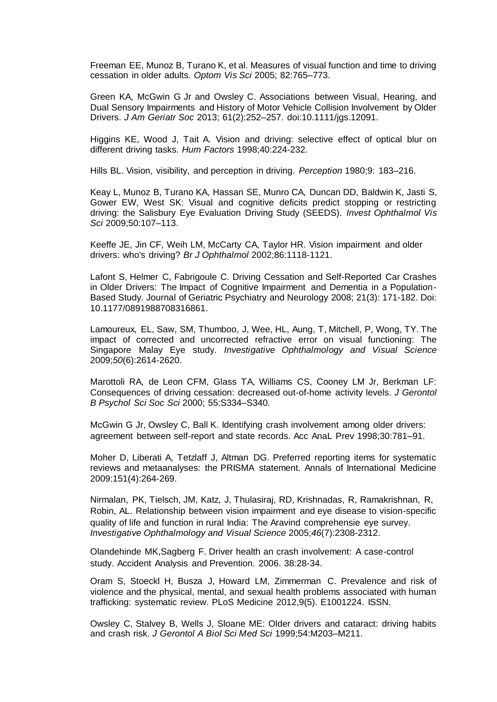Freeman EE, Munoz B, Turano K, et al. Measures of visual function and time to driving cessation in older adults. *Optom Vis Sci* 2005; 82:765–773.

Green KA, McGwin G Jr and Owsley C. Associations between Visual, Hearing, and Dual Sensory Impairments and History of Motor Vehicle Collision Involvement by Older Drivers. *J Am Geriatr Soc* 2013; 61(2):252–257. doi:10.1111/jgs.12091.

Higgins KE, Wood J, Tait A. Vision and driving: selective effect of optical blur on different driving tasks. *Hum Factors* 1998;40:224-232.

Hills BL. Vision, visibility, and perception in driving. *Perception* 1980;9: 183–216.

Keay L, Munoz B, Turano KA, Hassan SE, Munro CA, Duncan DD, Baldwin K, Jasti S, Gower EW, West SK: Visual and cognitive deficits predict stopping or restricting driving: the Salisbury Eye Evaluation Driving Study (SEEDS). *Invest Ophthalmol Vis Sci* 2009;50:107–113.

Keeffe JE, Jin CF, Weih LM, McCarty CA, Taylor HR. Vision impairment and older drivers: who's driving? *Br J Ophthalmol* 2002;86:1118-1121.

Lafont S, Helmer C, Fabrigoule C. Driving Cessation and Self-Reported Car Crashes in Older Drivers: The Impact of Cognitive Impairment and Dementia in a Population-Based Study. Journal of Geriatric Psychiatry and Neurology 2008; 21(3): 171-182. Doi: 10.1177/0891988708316861.

Lamoureux, EL, Saw, SM, Thumboo, J, Wee, HL, Aung, T, Mitchell, P, Wong, TY. The impact of corrected and uncorrected refractive error on visual functioning: The Singapore Malay Eye study. *Investigative Ophthalmology and Visual Science*  2009;*50*(6):2614-2620.

Marottoli RA, de Leon CFM, Glass TA, Williams CS, Cooney LM Jr, Berkman LF: Consequences of driving cessation: decreased out-of-home activity levels. *J Gerontol B Psychol Sci Soc Sci* 2000; 55:S334–S340.

McGwin G Jr, Owsley C, Ball K. Identifying crash involvement among older drivers: agreement between self-report and state records. Acc AnaL Prev 1998;30:781–91.

Moher D, Liberati A, Tetzlaff J, Altman DG. Preferred reporting items for systematic reviews and metaanalyses: the PRISMA statement. Annals of International Medicine 2009:151(4):264-269.

Nirmalan, PK, Tielsch, JM, Katz, J, Thulasiraj, RD, Krishnadas, R, Ramakrishnan, R, Robin, AL. Relationship between vision impairment and eye disease to vision-specific quality of life and function in rural India: The Aravind comprehensie eye survey. *Investigative Ophthalmology and Visual Science* 2005;*46*(7):2308-2312.

Olandehinde MK,Sagberg F. Driver health an crash involvement: A case-control study. Accident Analysis and Prevention. 2006. 38:28-34.

Oram S, Stoeckl H, Busza J, Howard LM, Zimmerman C. Prevalence and risk of violence and the physical, mental, and sexual health problems associated with human trafficking: systematic review. PLoS Medicine 2012,9(5). E1001224. ISSN.

Owsley C, Stalvey B, Wells J, Sloane ME: Older drivers and cataract: driving habits and crash risk. *J Gerontol A Biol Sci Med Sci* 1999;54:M203–M211.